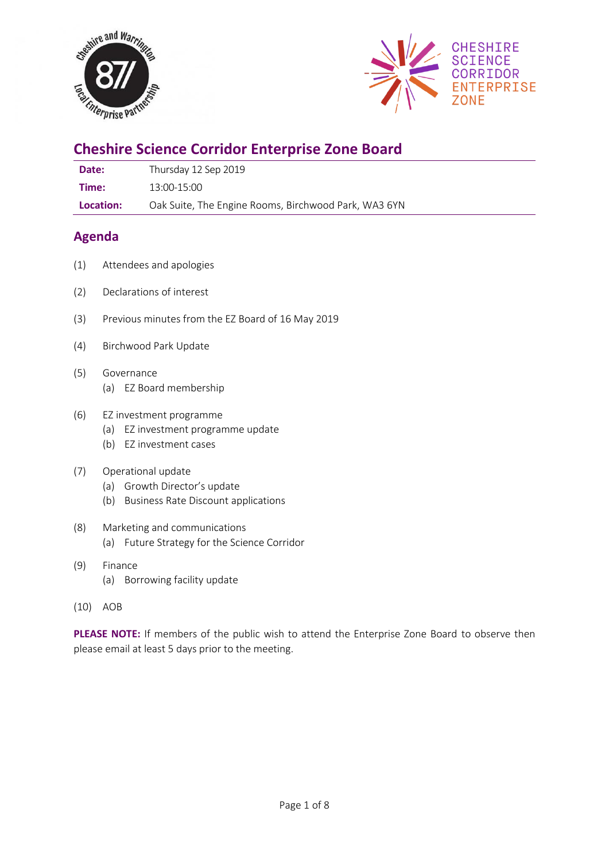



# **Cheshire Science Corridor Enterprise Zone Board**

| Date: | Thursday 12 Sep 2019 |
|-------|----------------------|
|-------|----------------------|

**Time:** 13:00-15:00

**Location:** Oak Suite, The Engine Rooms, Birchwood Park, WA3 6YN

# **Agenda**

- (1) Attendees and apologies
- (2) Declarations of interest
- (3) Previous minutes from the EZ Board of 16 May 2019
- (4) Birchwood Park Update
- (5) Governance (a) EZ Board membership
- (6) EZ investment programme
	- (a) EZ investment programme update
	- (b) EZ investment cases
- (7) Operational update
	- (a) Growth Director's update
	- (b) Business Rate Discount applications
- (8) Marketing and communications
	- (a) Future Strategy for the Science Corridor
- (9) Finance
	- (a) Borrowing facility update
- (10) AOB

**PLEASE NOTE:** If members of the public wish to attend the Enterprise Zone Board to observe then please email at least 5 days prior to the meeting.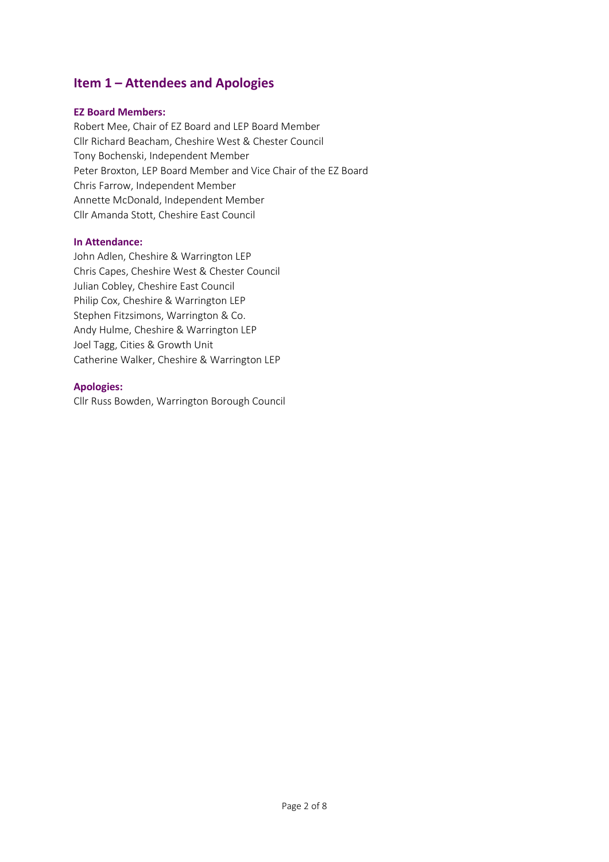# **Item 1 – Attendees and Apologies**

#### **EZ Board Members:**

Robert Mee, Chair of EZ Board and LEP Board Member Cllr Richard Beacham, Cheshire West & Chester Council Tony Bochenski, Independent Member Peter Broxton, LEP Board Member and Vice Chair of the EZ Board Chris Farrow, Independent Member Annette McDonald, Independent Member Cllr Amanda Stott, Cheshire East Council

#### **In Attendance:**

John Adlen, Cheshire & Warrington LEP Chris Capes, Cheshire West & Chester Council Julian Cobley, Cheshire East Council Philip Cox, Cheshire & Warrington LEP Stephen Fitzsimons, Warrington & Co. Andy Hulme, Cheshire & Warrington LEP Joel Tagg, Cities & Growth Unit Catherine Walker, Cheshire & Warrington LEP

#### **Apologies:**

Cllr Russ Bowden, Warrington Borough Council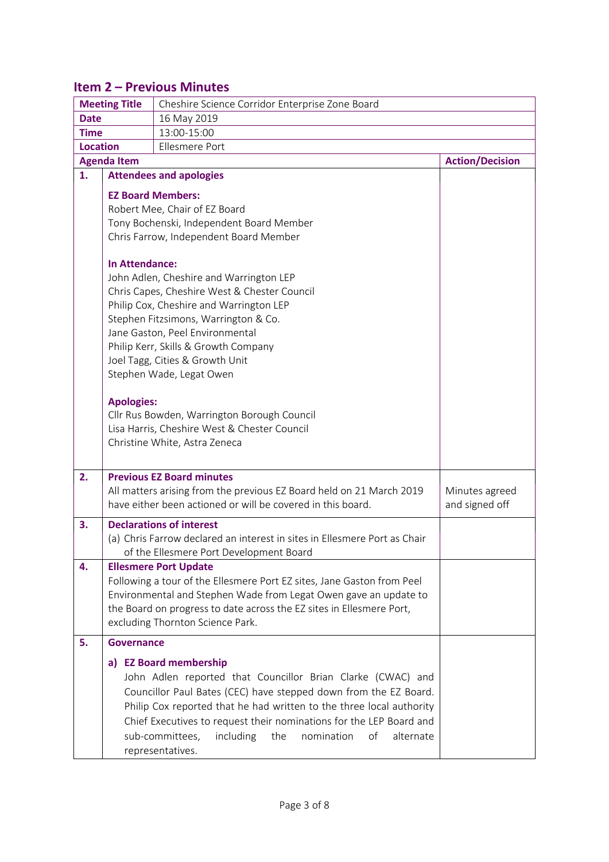# **Item 2 – Previous Minutes**

| <b>Meeting Title</b><br>Cheshire Science Corridor Enterprise Zone Board |                                                                                                                                                                                                                                                                                                                                                                                                                                                                                                                                                                                                                                                |                                                                                                                                                                                                                                                                                                                                                                                                      |                                  |  |  |  |
|-------------------------------------------------------------------------|------------------------------------------------------------------------------------------------------------------------------------------------------------------------------------------------------------------------------------------------------------------------------------------------------------------------------------------------------------------------------------------------------------------------------------------------------------------------------------------------------------------------------------------------------------------------------------------------------------------------------------------------|------------------------------------------------------------------------------------------------------------------------------------------------------------------------------------------------------------------------------------------------------------------------------------------------------------------------------------------------------------------------------------------------------|----------------------------------|--|--|--|
| <b>Date</b>                                                             |                                                                                                                                                                                                                                                                                                                                                                                                                                                                                                                                                                                                                                                | 16 May 2019                                                                                                                                                                                                                                                                                                                                                                                          |                                  |  |  |  |
| 13:00-15:00<br><b>Time</b>                                              |                                                                                                                                                                                                                                                                                                                                                                                                                                                                                                                                                                                                                                                |                                                                                                                                                                                                                                                                                                                                                                                                      |                                  |  |  |  |
| <b>Location</b>                                                         |                                                                                                                                                                                                                                                                                                                                                                                                                                                                                                                                                                                                                                                |                                                                                                                                                                                                                                                                                                                                                                                                      |                                  |  |  |  |
| <b>Agenda Item</b>                                                      | <b>Action/Decision</b>                                                                                                                                                                                                                                                                                                                                                                                                                                                                                                                                                                                                                         |                                                                                                                                                                                                                                                                                                                                                                                                      |                                  |  |  |  |
| 1.                                                                      |                                                                                                                                                                                                                                                                                                                                                                                                                                                                                                                                                                                                                                                | <b>Attendees and apologies</b>                                                                                                                                                                                                                                                                                                                                                                       |                                  |  |  |  |
|                                                                         | <b>EZ Board Members:</b><br>Robert Mee, Chair of EZ Board<br>Tony Bochenski, Independent Board Member<br>Chris Farrow, Independent Board Member<br>In Attendance:<br>John Adlen, Cheshire and Warrington LEP<br>Chris Capes, Cheshire West & Chester Council<br>Philip Cox, Cheshire and Warrington LEP<br>Stephen Fitzsimons, Warrington & Co.<br>Jane Gaston, Peel Environmental<br>Philip Kerr, Skills & Growth Company<br>Joel Tagg, Cities & Growth Unit<br>Stephen Wade, Legat Owen<br><b>Apologies:</b><br>Cllr Rus Bowden, Warrington Borough Council<br>Lisa Harris, Cheshire West & Chester Council<br>Christine White, Astra Zeneca |                                                                                                                                                                                                                                                                                                                                                                                                      |                                  |  |  |  |
|                                                                         |                                                                                                                                                                                                                                                                                                                                                                                                                                                                                                                                                                                                                                                |                                                                                                                                                                                                                                                                                                                                                                                                      |                                  |  |  |  |
| 2.                                                                      |                                                                                                                                                                                                                                                                                                                                                                                                                                                                                                                                                                                                                                                | <b>Previous EZ Board minutes</b><br>All matters arising from the previous EZ Board held on 21 March 2019<br>have either been actioned or will be covered in this board.                                                                                                                                                                                                                              | Minutes agreed<br>and signed off |  |  |  |
| 3.                                                                      |                                                                                                                                                                                                                                                                                                                                                                                                                                                                                                                                                                                                                                                | <b>Declarations of interest</b><br>(a) Chris Farrow declared an interest in sites in Ellesmere Port as Chair<br>of the Ellesmere Port Development Board                                                                                                                                                                                                                                              |                                  |  |  |  |
| 4.                                                                      |                                                                                                                                                                                                                                                                                                                                                                                                                                                                                                                                                                                                                                                | <b>Ellesmere Port Update</b><br>Following a tour of the Ellesmere Port EZ sites, Jane Gaston from Peel<br>Environmental and Stephen Wade from Legat Owen gave an update to<br>the Board on progress to date across the EZ sites in Ellesmere Port,<br>excluding Thornton Science Park.                                                                                                               |                                  |  |  |  |
| 5.                                                                      | <b>Governance</b>                                                                                                                                                                                                                                                                                                                                                                                                                                                                                                                                                                                                                              |                                                                                                                                                                                                                                                                                                                                                                                                      |                                  |  |  |  |
|                                                                         |                                                                                                                                                                                                                                                                                                                                                                                                                                                                                                                                                                                                                                                | a) EZ Board membership<br>John Adlen reported that Councillor Brian Clarke (CWAC) and<br>Councillor Paul Bates (CEC) have stepped down from the EZ Board.<br>Philip Cox reported that he had written to the three local authority<br>Chief Executives to request their nominations for the LEP Board and<br>including<br>the<br>nomination<br>sub-committees,<br>of<br>alternate<br>representatives. |                                  |  |  |  |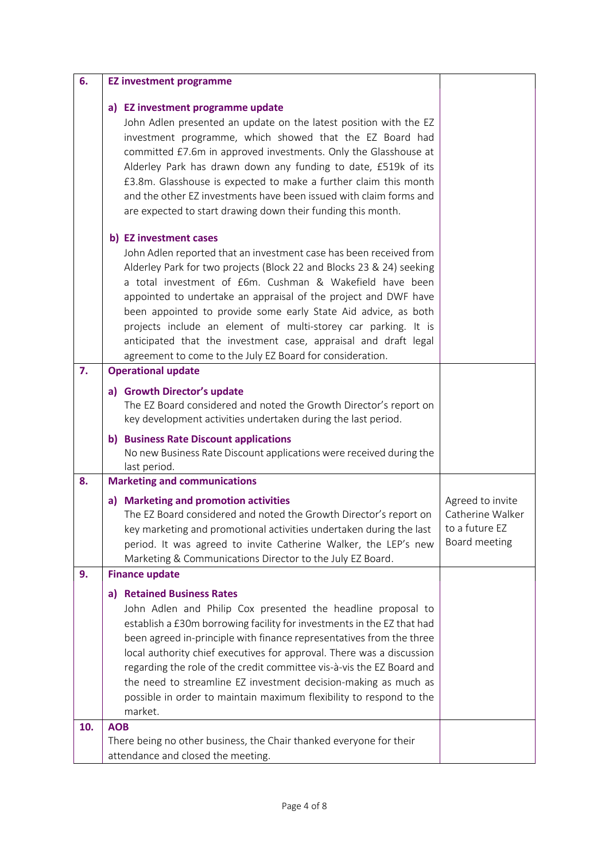| 6.  | <b>EZ investment programme</b>                                                                                                                                                                                                                                                                                                                                                                                                                                                                                                                      |                                                                         |
|-----|-----------------------------------------------------------------------------------------------------------------------------------------------------------------------------------------------------------------------------------------------------------------------------------------------------------------------------------------------------------------------------------------------------------------------------------------------------------------------------------------------------------------------------------------------------|-------------------------------------------------------------------------|
|     | a) EZ investment programme update<br>John Adlen presented an update on the latest position with the EZ<br>investment programme, which showed that the EZ Board had<br>committed £7.6m in approved investments. Only the Glasshouse at<br>Alderley Park has drawn down any funding to date, £519k of its<br>£3.8m. Glasshouse is expected to make a further claim this month<br>and the other EZ investments have been issued with claim forms and<br>are expected to start drawing down their funding this month.<br>b) EZ investment cases         |                                                                         |
|     | John Adlen reported that an investment case has been received from<br>Alderley Park for two projects (Block 22 and Blocks 23 & 24) seeking<br>a total investment of £6m. Cushman & Wakefield have been<br>appointed to undertake an appraisal of the project and DWF have<br>been appointed to provide some early State Aid advice, as both<br>projects include an element of multi-storey car parking. It is<br>anticipated that the investment case, appraisal and draft legal<br>agreement to come to the July EZ Board for consideration.       |                                                                         |
| 7.  | <b>Operational update</b>                                                                                                                                                                                                                                                                                                                                                                                                                                                                                                                           |                                                                         |
|     | a) Growth Director's update<br>The EZ Board considered and noted the Growth Director's report on<br>key development activities undertaken during the last period.                                                                                                                                                                                                                                                                                                                                                                                   |                                                                         |
|     | b) Business Rate Discount applications<br>No new Business Rate Discount applications were received during the<br>last period.                                                                                                                                                                                                                                                                                                                                                                                                                       |                                                                         |
| 8.  | <b>Marketing and communications</b>                                                                                                                                                                                                                                                                                                                                                                                                                                                                                                                 |                                                                         |
|     | a) Marketing and promotion activities<br>The EZ Board considered and noted the Growth Director's report on<br>key marketing and promotional activities undertaken during the last<br>period. It was agreed to invite Catherine Walker, the LEP's new<br>Marketing & Communications Director to the July EZ Board.                                                                                                                                                                                                                                   | Agreed to invite<br>Catherine Walker<br>to a future EZ<br>Board meeting |
| 9.  | <b>Finance update</b>                                                                                                                                                                                                                                                                                                                                                                                                                                                                                                                               |                                                                         |
|     | a) Retained Business Rates<br>John Adlen and Philip Cox presented the headline proposal to<br>establish a £30m borrowing facility for investments in the EZ that had<br>been agreed in-principle with finance representatives from the three<br>local authority chief executives for approval. There was a discussion<br>regarding the role of the credit committee vis-à-vis the EZ Board and<br>the need to streamline EZ investment decision-making as much as<br>possible in order to maintain maximum flexibility to respond to the<br>market. |                                                                         |
| 10. | <b>AOB</b>                                                                                                                                                                                                                                                                                                                                                                                                                                                                                                                                          |                                                                         |
|     | There being no other business, the Chair thanked everyone for their<br>attendance and closed the meeting.                                                                                                                                                                                                                                                                                                                                                                                                                                           |                                                                         |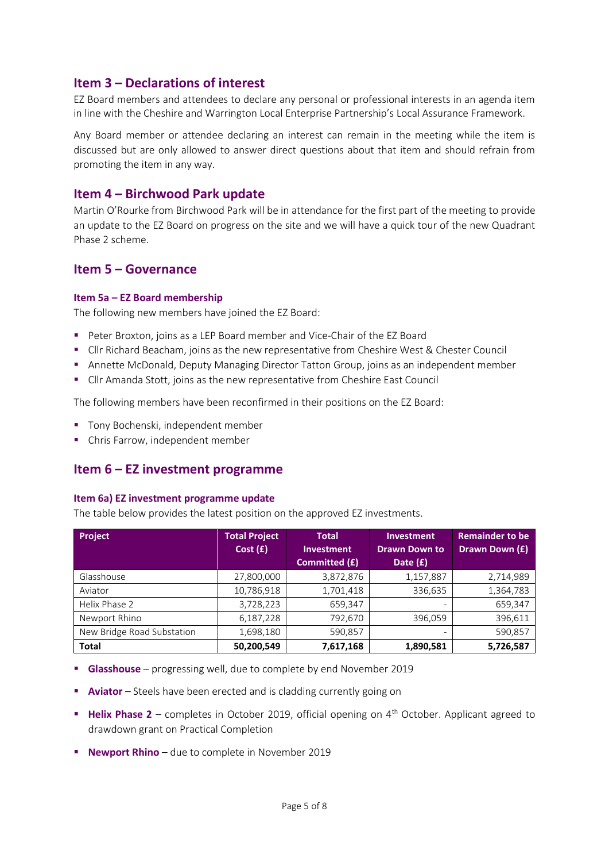### **Item 3 – Declarations of interest**

EZ Board members and attendees to declare any personal or professional interests in an agenda item in line with the Cheshire and Warrington Local Enterprise Partnership's Local Assurance Framework.

Any Board member or attendee declaring an interest can remain in the meeting while the item is discussed but are only allowed to answer direct questions about that item and should refrain from promoting the item in any way.

### **Item 4 – Birchwood Park update**

Martin O'Rourke from Birchwood Park will be in attendance for the first part of the meeting to provide an update to the EZ Board on progress on the site and we will have a quick tour of the new Quadrant Phase 2 scheme.

### **Item 5 – Governance**

#### **Item 5a – EZ Board membership**

The following new members have joined the EZ Board:

- Peter Broxton, joins as a LEP Board member and Vice-Chair of the EZ Board
- Cllr Richard Beacham, joins as the new representative from Cheshire West & Chester Council
- Annette McDonald, Deputy Managing Director Tatton Group, joins as an independent member
- Cllr Amanda Stott, joins as the new representative from Cheshire East Council

The following members have been reconfirmed in their positions on the EZ Board:

- Tony Bochenski, independent member
- Chris Farrow, independent member

## **Item 6 – EZ investment programme**

#### **Item 6a) EZ investment programme update**

The table below provides the latest position on the approved EZ investments.

| <b>Project</b>             | <b>Total Project</b><br>Cost(f) | <b>Total</b><br><b>Investment</b><br>Committed (£) | <b>Investment</b><br><b>Drawn Down to</b><br>Date $(f)$ | <b>Remainder to be</b><br>Drawn Down (£) |
|----------------------------|---------------------------------|----------------------------------------------------|---------------------------------------------------------|------------------------------------------|
| Glasshouse                 | 27,800,000                      | 3,872,876                                          | 1,157,887                                               | 2,714,989                                |
| Aviator                    | 10,786,918                      | 1,701,418                                          | 336,635                                                 | 1,364,783                                |
| Helix Phase 2              | 3,728,223                       | 659,347                                            |                                                         | 659,347                                  |
| Newport Rhino              | 6,187,228                       | 792,670                                            | 396,059                                                 | 396,611                                  |
| New Bridge Road Substation | 1,698,180                       | 590,857                                            | $\overline{\phantom{m}}$                                | 590,857                                  |
| <b>Total</b>               | 50,200,549                      | 7,617,168                                          | 1,890,581                                               | 5,726,587                                |

- **Glasshouse** progressing well, due to complete by end November 2019
- **E** Aviator Steels have been erected and is cladding currently going on
- Helix Phase 2 completes in October 2019, official opening on 4<sup>th</sup> October. Applicant agreed to drawdown grant on Practical Completion
- **Newport Rhino** due to complete in November 2019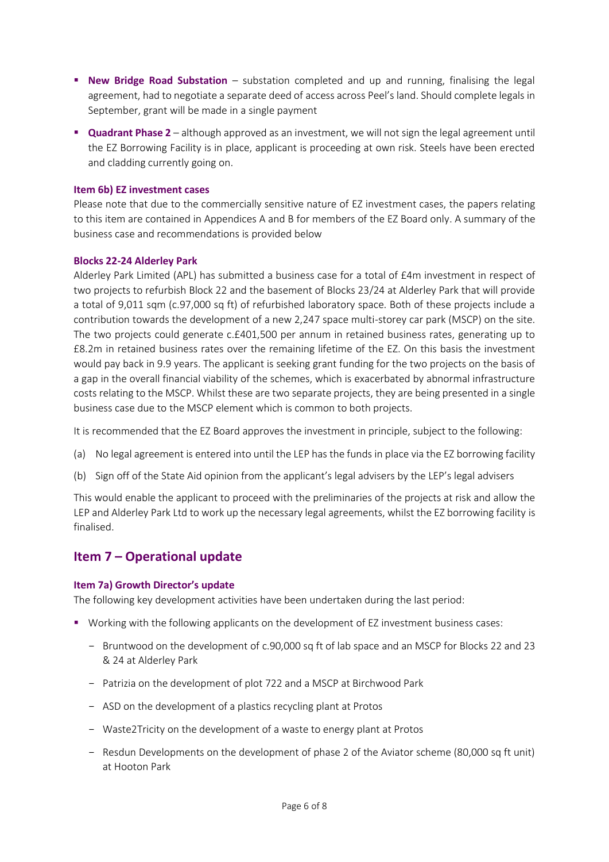- **E** New Bridge Road Substation substation completed and up and running, finalising the legal agreement, had to negotiate a separate deed of access across Peel's land. Should complete legals in September, grant will be made in a single payment
- **Quadrant Phase 2** although approved as an investment, we will not sign the legal agreement until the EZ Borrowing Facility is in place, applicant is proceeding at own risk. Steels have been erected and cladding currently going on.

#### **Item 6b) EZ investment cases**

Please note that due to the commercially sensitive nature of EZ investment cases, the papers relating to this item are contained in Appendices A and B for members of the EZ Board only. A summary of the business case and recommendations is provided below

#### **Blocks 22-24 Alderley Park**

Alderley Park Limited (APL) has submitted a business case for a total of £4m investment in respect of two projects to refurbish Block 22 and the basement of Blocks 23/24 at Alderley Park that will provide a total of 9,011 sqm (c.97,000 sq ft) of refurbished laboratory space. Both of these projects include a contribution towards the development of a new 2,247 space multi-storey car park (MSCP) on the site. The two projects could generate c.£401,500 per annum in retained business rates, generating up to £8.2m in retained business rates over the remaining lifetime of the EZ. On this basis the investment would pay back in 9.9 years. The applicant is seeking grant funding for the two projects on the basis of a gap in the overall financial viability of the schemes, which is exacerbated by abnormal infrastructure costs relating to the MSCP. Whilst these are two separate projects, they are being presented in a single business case due to the MSCP element which is common to both projects.

It is recommended that the EZ Board approves the investment in principle, subject to the following:

- (a) No legal agreement is entered into until the LEP has the funds in place via the EZ borrowing facility
- (b) Sign off of the State Aid opinion from the applicant's legal advisers by the LEP's legal advisers

This would enable the applicant to proceed with the preliminaries of the projects at risk and allow the LEP and Alderley Park Ltd to work up the necessary legal agreements, whilst the EZ borrowing facility is finalised.

## **Item 7 – Operational update**

#### **Item 7a) Growth Director's update**

The following key development activities have been undertaken during the last period:

- Working with the following applicants on the development of EZ investment business cases:
	- Bruntwood on the development of c.90,000 sq ft of lab space and an MSCP for Blocks 22 and 23 & 24 at Alderley Park
	- Patrizia on the development of plot 722 and a MSCP at Birchwood Park
	- ASD on the development of a plastics recycling plant at Protos
	- Waste2Tricity on the development of a waste to energy plant at Protos
	- Resdun Developments on the development of phase 2 of the Aviator scheme (80,000 sq ft unit) at Hooton Park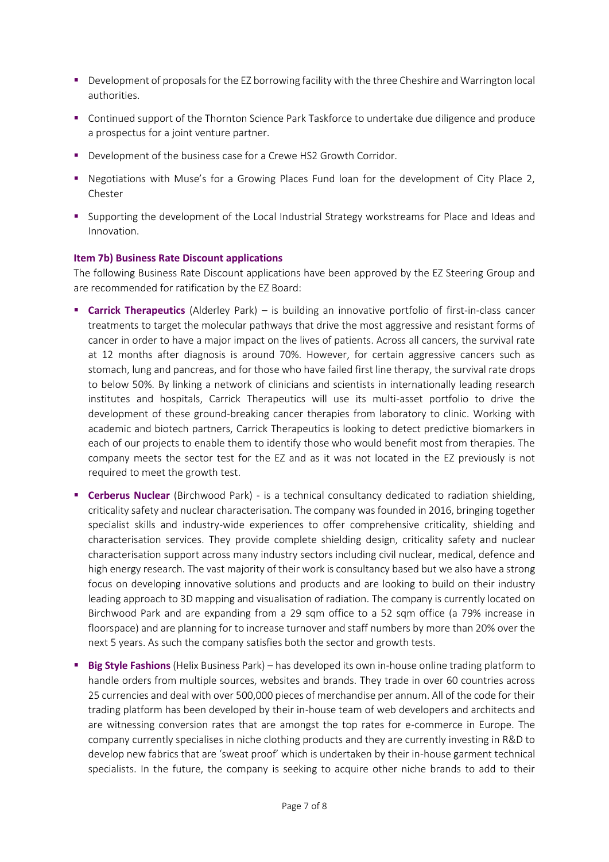- Development of proposals for the EZ borrowing facility with the three Cheshire and Warrington local authorities.
- Continued support of the Thornton Science Park Taskforce to undertake due diligence and produce a prospectus for a joint venture partner.
- Development of the business case for a Crewe HS2 Growth Corridor.
- Negotiations with Muse's for a Growing Places Fund loan for the development of City Place 2, Chester
- **•** Supporting the development of the Local Industrial Strategy workstreams for Place and Ideas and Innovation.

#### **Item 7b) Business Rate Discount applications**

The following Business Rate Discount applications have been approved by the EZ Steering Group and are recommended for ratification by the EZ Board:

- **E** Carrick Therapeutics (Alderley Park) is building an innovative portfolio of first-in-class cancer treatments to target the molecular pathways that drive the most aggressive and resistant forms of cancer in order to have a major impact on the lives of patients. Across all cancers, the survival rate at 12 months after diagnosis is around 70%. However, for certain aggressive cancers such as stomach, lung and pancreas, and for those who have failed first line therapy, the survival rate drops to below 50%. By linking a network of clinicians and scientists in internationally leading research institutes and hospitals, Carrick Therapeutics will use its multi-asset portfolio to drive the development of these ground-breaking cancer therapies from laboratory to clinic. Working with academic and biotech partners, Carrick Therapeutics is looking to detect predictive biomarkers in each of our projects to enable them to identify those who would benefit most from therapies. The company meets the sector test for the EZ and as it was not located in the EZ previously is not required to meet the growth test.
- **Example 1** Cerberus Nuclear (Birchwood Park) is a technical consultancy dedicated to radiation shielding, criticality safety and nuclear characterisation. The company was founded in 2016, bringing together specialist skills and industry-wide experiences to offer comprehensive criticality, shielding and characterisation services. They provide complete shielding design, criticality safety and nuclear characterisation support across many industry sectors including civil nuclear, medical, defence and high energy research. The vast majority of their work is consultancy based but we also have a strong focus on developing innovative solutions and products and are looking to build on their industry leading approach to 3D mapping and visualisation of radiation. The company is currently located on Birchwood Park and are expanding from a 29 sqm office to a 52 sqm office (a 79% increase in floorspace) and are planning for to increase turnover and staff numbers by more than 20% over the next 5 years. As such the company satisfies both the sector and growth tests.
- **Big Style Fashions** (Helix Business Park) has developed its own in-house online trading platform to handle orders from multiple sources, websites and brands. They trade in over 60 countries across 25 currencies and deal with over 500,000 pieces of merchandise per annum. All of the code for their trading platform has been developed by their in-house team of web developers and architects and are witnessing conversion rates that are amongst the top rates for e-commerce in Europe. The company currently specialises in niche clothing products and they are currently investing in R&D to develop new fabrics that are 'sweat proof' which is undertaken by their in-house garment technical specialists. In the future, the company is seeking to acquire other niche brands to add to their